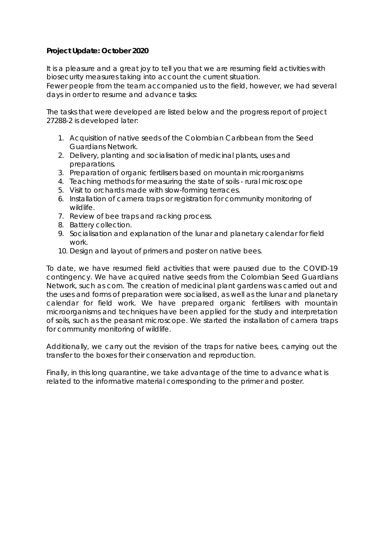## **Project Update: October 2020**

It is a pleasure and a great joy to tell you that we are resuming field activities with biosecurity measures taking into account the current situation. Fewer people from the team accompanied us to the field, however, we had several days in order to resume and advance tasks:

The tasks that were developed are listed below and the progress report of project 27288-2 is developed later:

- 1. Acquisition of native seeds of the Colombian Caribbean from the Seed Guardians Network.
- 2. Delivery, planting and socialisation of medicinal plants, uses and preparations.
- 3. Preparation of organic fertilisers based on mountain microorganisms
- 4. Teaching methods for measuring the state of soils rural microscope
- 5. Visit to orchards made with slow-forming terraces.
- 6. Installation of camera traps or registration for community monitoring of wildlife.
- 7. Review of bee traps and racking process.
- 8. Battery collection.
- 9. Socialisation and explanation of the lunar and planetary calendar for field work.
- 10. Design and layout of primers and poster on native bees.

To date, we have resumed field activities that were paused due to the COVID-19 contingency. We have acquired native seeds from the Colombian Seed Guardians Network, such as corn. The creation of medicinal plant gardens was carried out and the uses and forms of preparation were socialised, as well as the lunar and planetary calendar for field work. We have prepared organic fertilisers with mountain microorganisms and techniques have been applied for the study and interpretation of soils, such as the peasant microscope. We started the installation of camera traps for community monitoring of wildlife.

Additionally, we carry out the revision of the traps for native bees, carrying out the transfer to the boxes for their conservation and reproduction.

Finally, in this long quarantine, we take advantage of the time to advance what is related to the informative material corresponding to the primer and poster.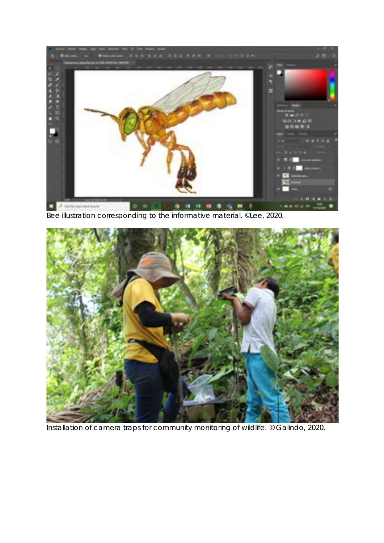

Bee illustration corresponding to the informative material. ©Lee, 2020.



Installation of camera traps for community monitoring of wildlife. © Galindo, 2020.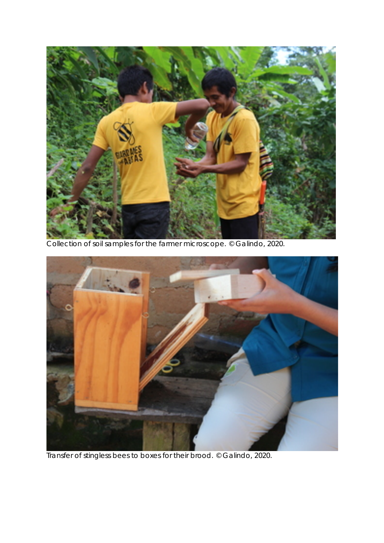

Collection of soil samples for the farmer microscope. © Galindo, 2020.



Transfer of stingless bees to boxes for their brood. © Galindo, 2020.